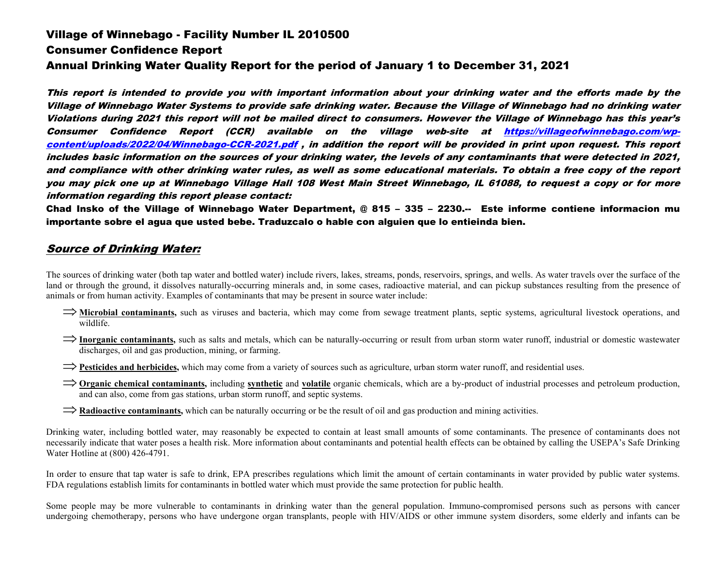# Village of Winnebago - Facility Number IL 2010500 Consumer Confidence Report Annual Drinking Water Quality Report for the period of January 1 to December 31, 2021

This report is intended to provide you with important information about your drinking water and the efforts made by the Village of Winnebago Water Systems to provide safe drinking water. Because the Village of Winnebago had no drinking water Violations during 2021 this report will not be mailed direct to consumers. However the Village of Winnebago has this year's Consumer Confidence Report (CCR) available on the village web-site at [https://villageofwinnebago.com/wp](http://www._______________________/)[content/uploads/2022/04/Winnebago-CCR-2021.pdf](http://www._______________________/) , in addition the report will be provided in print upon request. This report includes basic information on the sources of your drinking water, the levels of any contaminants that were detected in 2021, and compliance with other drinking water rules, as well as some educational materials. To obtain a free copy of the report you may pick one up at Winnebago Village Hall 108 West Main Street Winnebago, IL 61088, to request a copy or for more information regarding this report please contact:

Chad Insko of the Village of Winnebago Water Department, @ 815 – 335 – 2230.-- Este informe contiene informacion mu importante sobre el agua que usted bebe. Traduzcalo o hable con alguien que lo entieinda bien.

## Source of Drinking Water:

The sources of drinking water (both tap water and bottled water) include rivers, lakes, streams, ponds, reservoirs, springs, and wells. As water travels over the surface of the land or through the ground, it dissolves naturally-occurring minerals and, in some cases, radioactive material, and can pickup substances resulting from the presence of animals or from human activity. Examples of contaminants that may be present in source water include:

- ⇒**Microbial contaminants,** such as viruses and bacteria, which may come from sewage treatment plants, septic systems, agricultural livestock operations, and wildlife.
- ⇒**Inorganic contaminants,** such as salts and metals, which can be naturally-occurring or result from urban storm water runoff, industrial or domestic wastewater discharges, oil and gas production, mining, or farming.
- ⇒**Pesticides and herbicides,** which may come from a variety of sources such as agriculture, urban storm water runoff, and residential uses.
- ⇒**Organic chemical contaminants,** including **synthetic** and **volatile** organic chemicals, which are a by-product of industrial processes and petroleum production, and can also, come from gas stations, urban storm runoff, and septic systems.
- ⇒**Radioactive contaminants,** which can be naturally occurring or be the result of oil and gas production and mining activities.

Drinking water, including bottled water, may reasonably be expected to contain at least small amounts of some contaminants. The presence of contaminants does not necessarily indicate that water poses a health risk. More information about contaminants and potential health effects can be obtained by calling the USEPA's Safe Drinking Water Hotline at (800) 426-4791.

In order to ensure that tap water is safe to drink, EPA prescribes regulations which limit the amount of certain contaminants in water provided by public water systems. FDA regulations establish limits for contaminants in bottled water which must provide the same protection for public health.

Some people may be more vulnerable to contaminants in drinking water than the general population. Immuno-compromised persons such as persons with cancer undergoing chemotherapy, persons who have undergone organ transplants, people with HIV/AIDS or other immune system disorders, some elderly and infants can be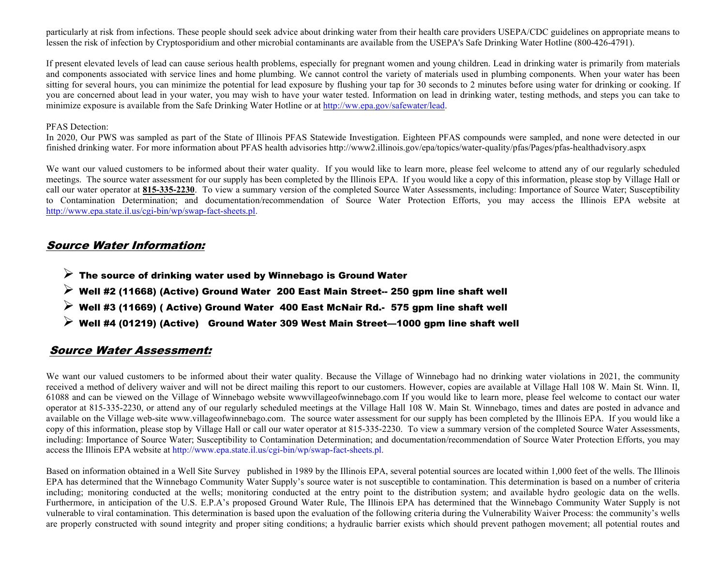particularly at risk from infections. These people should seek advice about drinking water from their health care providers USEPA/CDC guidelines on appropriate means to lessen the risk of infection by Cryptosporidium and other microbial contaminants are available from the USEPA's Safe Drinking Water Hotline (800-426-4791).

If present elevated levels of lead can cause serious health problems, especially for pregnant women and young children. Lead in drinking water is primarily from materials and components associated with service lines and home plumbing. We cannot control the variety of materials used in plumbing components. When your water has been sitting for several hours, you can minimize the potential for lead exposure by flushing your tap for 30 seconds to 2 minutes before using water for drinking or cooking. If you are concerned about lead in your water, you may wish to have your water tested. Information on lead in drinking water, testing methods, and steps you can take to minimize exposure is available from the Safe Drinking Water Hotline or a[t http://ww.epa.gov/safewater/lead.](http://ww.epa.gov/safewater/lead) 

#### PFAS Detection:

In 2020, Our PWS was sampled as part of the State of Illinois PFAS Statewide Investigation. Eighteen PFAS compounds were sampled, and none were detected in our finished drinking water. For more information about PFAS health advisories http://www2.illinois.gov/epa/topics/water-quality/pfas/Pages/pfas-healthadvisory.aspx

We want our valued customers to be informed about their water quality. If you would like to learn more, please feel welcome to attend any of our regularly scheduled meetings. The source water assessment for our supply has been completed by the Illinois EPA. If you would like a copy of this information, please stop by Village Hall or call our water operator at **815-335-2230**. To view a summary version of the completed Source Water Assessments, including: Importance of Source Water; Susceptibility to Contamination Determination; and documentation/recommendation of Source Water Protection Efforts, you may access the Illinois EPA website at [http://www.epa.state.il.us/cgi-bin/wp/swap-fact-sheets.pl.](http://www.epa.state.il.us/cgi-bin/wp/swap-fact-sheets.pl)

### Source Water Information:

- $\triangleright$  The source of drinking water used by Winnebago is Ground Water
- $\triangleright$  Well #2 (11668) (Active) Ground Water 200 East Main Street-- 250 gpm line shaft well
- $\triangleright$  Well #3 (11669) (Active) Ground Water 400 East McNair Rd.- 575 gpm line shaft well
- $\triangleright$  Well #4 (01219) (Active) Ground Water 309 West Main Street—1000 gpm line shaft well

### Source Water Assessment:

We want our valued customers to be informed about their water quality. Because the Village of Winnebago had no drinking water violations in 2021, the community received a method of delivery waiver and will not be direct mailing this report to our customers. However, copies are available at Village Hall 108 W. Main St. Winn. Il, 61088 and can be viewed on the Village of Winnebago website wwwvillageofwinnebago.com If you would like to learn more, please feel welcome to contact our water operator at 815-335-2230, or attend any of our regularly scheduled meetings at the Village Hall 108 W. Main St. Winnebago, times and dates are posted in advance and available on the Village web-site www.villageofwinnebago.com. The source water assessment for our supply has been completed by the Illinois EPA. If you would like a copy of this information, please stop by Village Hall or call our water operator at 815-335-2230. To view a summary version of the completed Source Water Assessments, including: Importance of Source Water; Susceptibility to Contamination Determination; and documentation/recommendation of Source Water Protection Efforts, you may access the Illinois EPA website at http://www.epa.state.il.us/cgi-bin/wp/swap-fact-sheets.pl.

Based on information obtained in a Well Site Survey published in 1989 by the Illinois EPA, several potential sources are located within 1,000 feet of the wells. The Illinois EPA has determined that the Winnebago Community Water Supply's source water is not susceptible to contamination. This determination is based on a number of criteria including; monitoring conducted at the wells; monitoring conducted at the entry point to the distribution system; and available hydro geologic data on the wells. Furthermore, in anticipation of the U.S. E.P.A's proposed Ground Water Rule, The Illinois EPA has determined that the Winnebago Community Water Supply is not vulnerable to viral contamination. This determination is based upon the evaluation of the following criteria during the Vulnerability Waiver Process: the community's wells are properly constructed with sound integrity and proper siting conditions; a hydraulic barrier exists which should prevent pathogen movement; all potential routes and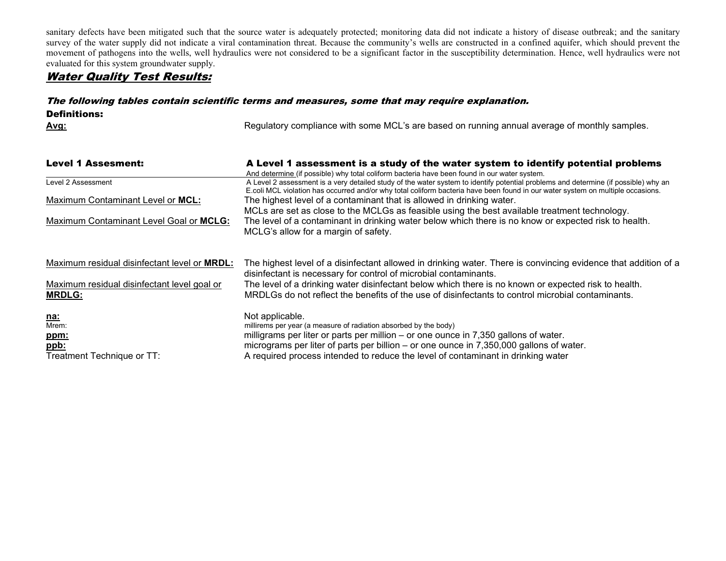sanitary defects have been mitigated such that the source water is adequately protected; monitoring data did not indicate a history of disease outbreak; and the sanitary survey of the water supply did not indicate a viral contamination threat. Because the community's wells are constructed in a confined aquifer, which should prevent the movement of pathogens into the wells, well hydraulics were not considered to be a significant factor in the susceptibility determination. Hence, well hydraulics were not evaluated for this system groundwater supply.

# Water Quality Test Results:

# The following tables contain scientific terms and measures, some that may require explanation.

Definitions:

Avg: **Avg:** Regulatory compliance with some MCL's are based on running annual average of monthly samples.

| <b>Level 1 Assesment:</b>                                                                          | A Level 1 assessment is a study of the water system to identify potential problems                                                                                                                                                                                                         |  |  |  |  |  |  |  |
|----------------------------------------------------------------------------------------------------|--------------------------------------------------------------------------------------------------------------------------------------------------------------------------------------------------------------------------------------------------------------------------------------------|--|--|--|--|--|--|--|
|                                                                                                    | And determine (if possible) why total coliform bacteria have been found in our water system.                                                                                                                                                                                               |  |  |  |  |  |  |  |
| Level 2 Assessment                                                                                 | A Level 2 assessment is a very detailed study of the water system to identify potential problems and determine (if possible) why an                                                                                                                                                        |  |  |  |  |  |  |  |
|                                                                                                    | E.coli MCL violation has occurred and/or why total coliform bacteria have been found in our water system on multiple occasions.                                                                                                                                                            |  |  |  |  |  |  |  |
| Maximum Contaminant Level or MCL:                                                                  | The highest level of a contaminant that is allowed in drinking water.                                                                                                                                                                                                                      |  |  |  |  |  |  |  |
|                                                                                                    | MCLs are set as close to the MCLGs as feasible using the best available treatment technology.                                                                                                                                                                                              |  |  |  |  |  |  |  |
| Maximum Contaminant Level Goal or MCLG:                                                            | The level of a contaminant in drinking water below which there is no know or expected risk to health.                                                                                                                                                                                      |  |  |  |  |  |  |  |
|                                                                                                    | MCLG's allow for a margin of safety.                                                                                                                                                                                                                                                       |  |  |  |  |  |  |  |
| Maximum residual disinfectant level or <b>MRDL:</b><br>Maximum residual disinfectant level goal or | The highest level of a disinfectant allowed in drinking water. There is convincing evidence that addition of a<br>disinfectant is necessary for control of microbial contaminants.<br>The level of a drinking water disinfectant below which there is no known or expected risk to health. |  |  |  |  |  |  |  |
| <b>MRDLG:</b>                                                                                      | MRDLGs do not reflect the benefits of the use of disinfectants to control microbial contaminants.                                                                                                                                                                                          |  |  |  |  |  |  |  |
| <u>na:</u>                                                                                         | Not applicable.                                                                                                                                                                                                                                                                            |  |  |  |  |  |  |  |
| Mrem:                                                                                              | millirems per year (a measure of radiation absorbed by the body)                                                                                                                                                                                                                           |  |  |  |  |  |  |  |
| <u>ppm:</u>                                                                                        | milligrams per liter or parts per million – or one ounce in 7,350 gallons of water.                                                                                                                                                                                                        |  |  |  |  |  |  |  |
| ppb:                                                                                               | micrograms per liter of parts per billion – or one ounce in 7,350,000 gallons of water.                                                                                                                                                                                                    |  |  |  |  |  |  |  |
| Treatment Technique or TT:                                                                         | A required process intended to reduce the level of contaminant in drinking water                                                                                                                                                                                                           |  |  |  |  |  |  |  |
|                                                                                                    |                                                                                                                                                                                                                                                                                            |  |  |  |  |  |  |  |